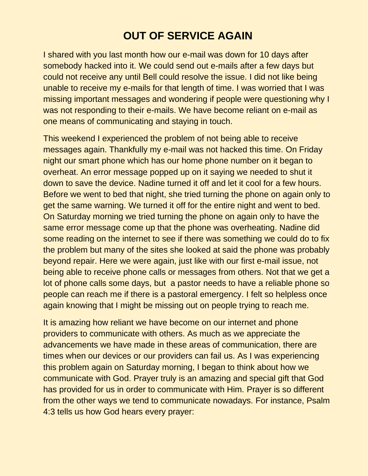## **OUT OF SERVICE AGAIN**

I shared with you last month how our e-mail was down for 10 days after somebody hacked into it. We could send out e-mails after a few days but could not receive any until Bell could resolve the issue. I did not like being unable to receive my e-mails for that length of time. I was worried that I was missing important messages and wondering if people were questioning why I was not responding to their e-mails. We have become reliant on e-mail as one means of communicating and staying in touch.

This weekend I experienced the problem of not being able to receive messages again. Thankfully my e-mail was not hacked this time. On Friday night our smart phone which has our home phone number on it began to overheat. An error message popped up on it saying we needed to shut it down to save the device. Nadine turned it off and let it cool for a few hours. Before we went to bed that night, she tried turning the phone on again only to get the same warning. We turned it off for the entire night and went to bed. On Saturday morning we tried turning the phone on again only to have the same error message come up that the phone was overheating. Nadine did some reading on the internet to see if there was something we could do to fix the problem but many of the sites she looked at said the phone was probably beyond repair. Here we were again, just like with our first e-mail issue, not being able to receive phone calls or messages from others. Not that we get a lot of phone calls some days, but a pastor needs to have a reliable phone so people can reach me if there is a pastoral emergency. I felt so helpless once again knowing that I might be missing out on people trying to reach me.

It is amazing how reliant we have become on our internet and phone providers to communicate with others. As much as we appreciate the advancements we have made in these areas of communication, there are times when our devices or our providers can fail us. As I was experiencing this problem again on Saturday morning, I began to think about how we communicate with God. Prayer truly is an amazing and special gift that God has provided for us in order to communicate with Him. Prayer is so different from the other ways we tend to communicate nowadays. For instance, Psalm 4:3 tells us how God hears every prayer: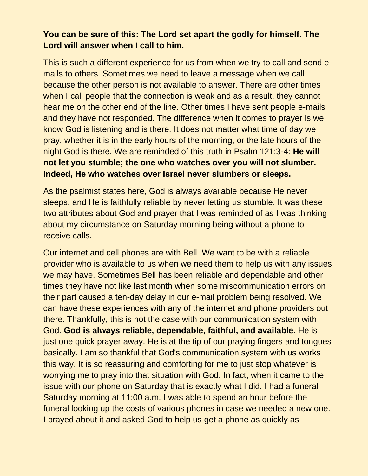## **You can be sure of this: The Lord set apart the godly for himself. The Lord will answer when I call to him.**

This is such a different experience for us from when we try to call and send emails to others. Sometimes we need to leave a message when we call because the other person is not available to answer. There are other times when I call people that the connection is weak and as a result, they cannot hear me on the other end of the line. Other times I have sent people e-mails and they have not responded. The difference when it comes to prayer is we know God is listening and is there. It does not matter what time of day we pray, whether it is in the early hours of the morning, or the late hours of the night God is there. We are reminded of this truth in Psalm 121:3-4: **He will not let you stumble; the one who watches over you will not slumber. Indeed, He who watches over Israel never slumbers or sleeps.**

As the psalmist states here, God is always available because He never sleeps, and He is faithfully reliable by never letting us stumble. It was these two attributes about God and prayer that I was reminded of as I was thinking about my circumstance on Saturday morning being without a phone to receive calls.

Our internet and cell phones are with Bell. We want to be with a reliable provider who is available to us when we need them to help us with any issues we may have. Sometimes Bell has been reliable and dependable and other times they have not like last month when some miscommunication errors on their part caused a ten-day delay in our e-mail problem being resolved. We can have these experiences with any of the internet and phone providers out there. Thankfully, this is not the case with our communication system with God. **God is always reliable, dependable, faithful, and available.** He is just one quick prayer away. He is at the tip of our praying fingers and tongues basically. I am so thankful that God's communication system with us works this way. It is so reassuring and comforting for me to just stop whatever is worrying me to pray into that situation with God. In fact, when it came to the issue with our phone on Saturday that is exactly what I did. I had a funeral Saturday morning at 11:00 a.m. I was able to spend an hour before the funeral looking up the costs of various phones in case we needed a new one. I prayed about it and asked God to help us get a phone as quickly as